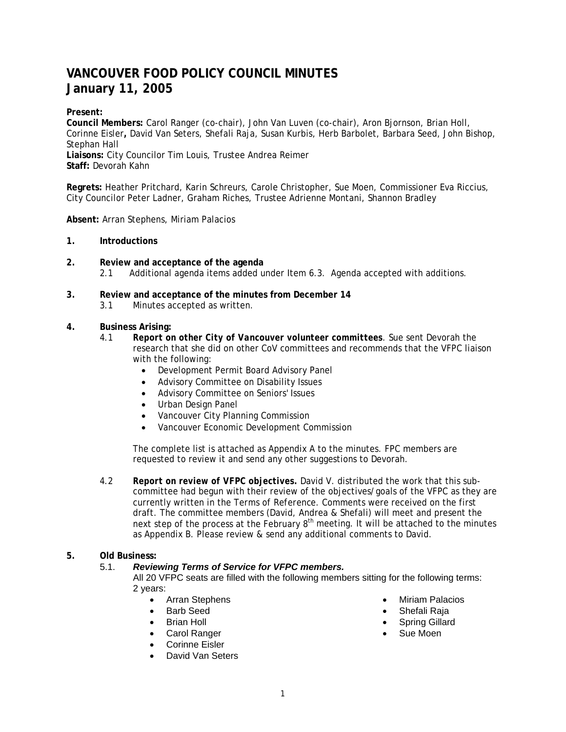# **VANCOUVER FOOD POLICY COUNCIL MINUTES January 11, 2005**

# **Present:**

**Council Members:** Carol Ranger (co-chair), John Van Luven (co-chair), Aron Bjornson, Brian Holl, Corinne Eisler**,** David Van Seters, Shefali Raja, Susan Kurbis, Herb Barbolet, Barbara Seed, John Bishop, Stephan Hall **Liaisons:** City Councilor Tim Louis, Trustee Andrea Reimer **Staff:** Devorah Kahn

**Regrets:** Heather Pritchard, Karin Schreurs, Carole Christopher, Sue Moen, Commissioner Eva Riccius, City Councilor Peter Ladner, Graham Riches, Trustee Adrienne Montani, Shannon Bradley

#### **Absent:** Arran Stephens, Miriam Palacios

#### **1. Introductions**

- **2. Review and acceptance of the agenda** 2.1 Additional agenda items added under Item 6.3. Agenda accepted with additions.
- **3. Review and acceptance of the minutes from December 14** 3.1 Minutes accepted as written.
	-

## **4. Business Arising:**

- 4.1 *Report on other City of Vancouver volunteer committees*. Sue sent Devorah the research that she did on other CoV committees and recommends that the VFPC liaison with the following:
	- Development Permit Board Advisory Panel
	- Advisory Committee on Disability Issues
	- Advisory Committee on Seniors' Issues
	- Urban Design Panel
	- Vancouver City Planning Commission
	- Vancouver Economic Development Commission

The complete list is attached as Appendix A to the minutes. FPC members are requested to review it and send any other suggestions to Devorah.

4.2 *Report on review of VFPC objectives.* David V. distributed the work that this subcommittee had begun with their review of the objectives/goals of the VFPC as they are currently written in the *Terms of Reference*. Comments were received on the first draft. The committee members (David, Andrea & Shefali) will meet and present the next step of the process at the February  $8<sup>th</sup>$  meeting. It will be attached to the minutes as Appendix B. Please review & send any additional comments to David.

# **5. Old Business:**

## 5.1. *Reviewing Terms of Service for VFPC members.*

All 20 VFPC seats are filled with the following members sitting for the following terms: 2 years:

- Arran Stephens
- Barb Seed
- **Brian Holl**
- Carol Ranger
- Corinne Eisler
- David Van Seters
- Miriam Palacios
- Shefali Raja
- Spring Gillard
- Sue Moen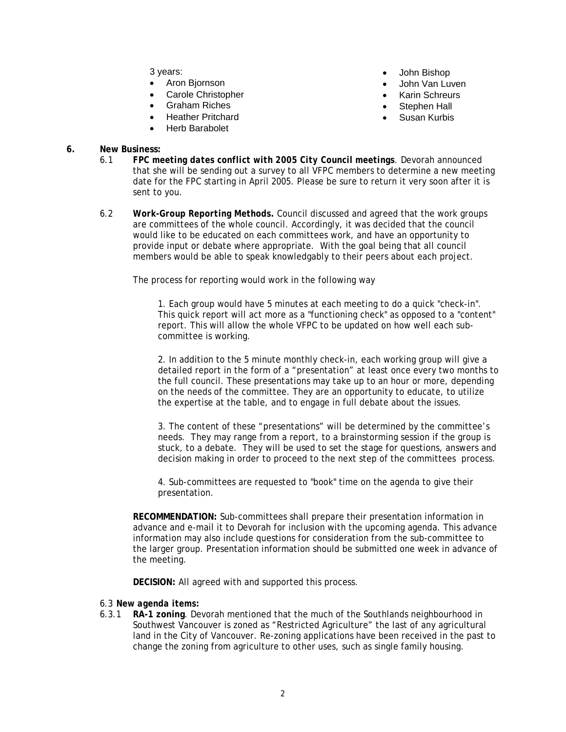3 years:

- Aron Bjornson
- Carole Christopher
- Graham Riches
- Heather Pritchard
- Herb Barabolet
- John Bishop
- John Van Luven
- Karin Schreurs
- Stephen Hall
- Susan Kurbis
- **6. New Business:**  6.1 *FPC meeting dates conflict with 2005 City Council meetings.* Devorah announced that she will be sending out a survey to all VFPC members to determine a new meeting date for the FPC starting in April 2005. Please be sure to return it very soon after it is sent to you.
	- 6.2 *Work-Group Reporting Methods***.** Council discussed and agreed that the work groups are committees of the whole council. Accordingly, it was decided that the council would like to be educated on each committees work, and have an opportunity to provide input or debate where appropriate. With the goal being that all council members would be able to speak knowledgably to their peers about each project.

The process for reporting would work in the following way

1. Each group would have 5 minutes at each meeting to do a quick "check-in". This quick report will act more as a "functioning check" as opposed to a "content" report. This will allow the whole VFPC to be updated on how well each subcommittee is working.

2. In addition to the 5 minute monthly check-in, each working group will give a detailed report in the form of a "presentation" at least once every two months to the full council. These presentations may take up to an hour or more, depending on the needs of the committee. They are an opportunity to educate, to utilize the expertise at the table, and to engage in full debate about the issues.

3. The content of these "presentations" will be determined by the committee's needs. They may range from a report, to a brainstorming session if the group is stuck, to a debate. They will be used to set the stage for questions, answers and decision making in order to proceed to the next step of the committees process.

4. Sub-committees are requested to "book" time on the agenda to give their presentation.

**RECOMMENDATION:** Sub-committees shall prepare their presentation information in advance and e-mail it to Devorah for inclusion with the upcoming agenda. This advance information may also include questions for consideration from the sub-committee to the larger group. Presentation information should be submitted one week in advance of the meeting.

**DECISION:** All agreed with and supported this process.

#### 6.3 *New agenda items:*

6.3.1 **RA-1 zoning**. Devorah mentioned that the much of the Southlands neighbourhood in Southwest Vancouver is zoned as "Restricted Agriculture" the last of any agricultural land in the City of Vancouver. Re-zoning applications have been received in the past to change the zoning from agriculture to other uses, such as single family housing.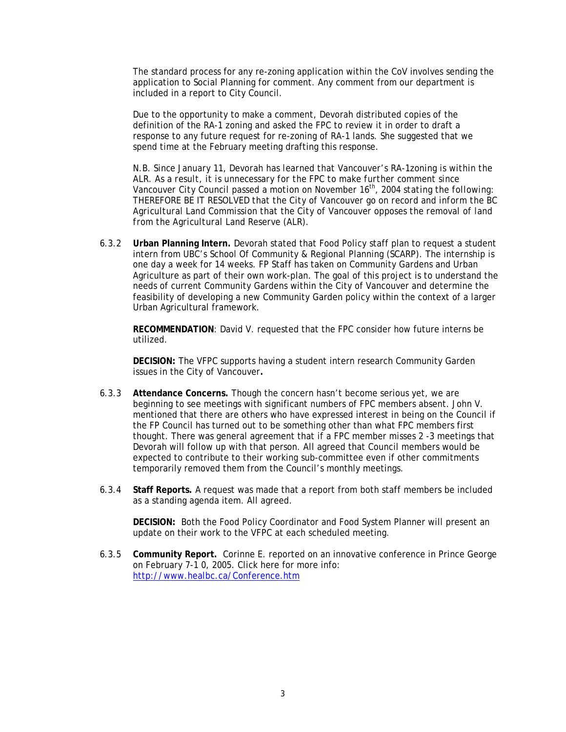The standard process for any re-zoning application within the CoV involves sending the application to Social Planning for comment. Any comment from our department is included in a report to City Council.

Due to the opportunity to make a comment, Devorah distributed copies of the definition of the RA-1 zoning and asked the FPC to review it in order to draft a response to any future request for re-zoning of RA-1 lands. She suggested that we spend time at the February meeting drafting this response.

*N.B. Since January 11, Devorah has learned that Vancouver's RA-1zoning is within the ALR. As a result, it is unnecessary for the FPC to make further comment since Vancouver City Council passed a motion on November 16th, 2004 stating the following: THEREFORE BE IT RESOLVED that the City of Vancouver go on record and inform the BC Agricultural Land Commission that the City of Vancouver opposes the removal of land from the Agricultural Land Reserve (ALR).* 

6.3.2 **Urban Planning Intern.** Devorah stated that Food Policy staff plan to request a student intern from UBC's School Of Community & Regional Planning (SCARP). The internship is one day a week for 14 weeks. FP Staff has taken on Community Gardens and Urban Agriculture as part of their own work-plan. The goal of this project is to understand the needs of current Community Gardens within the City of Vancouver and determine the feasibility of developing a new Community Garden policy within the context of a larger Urban Agricultural framework.

**RECOMMENDATION**: David V. requested that the FPC consider how future interns be utilized.

**DECISION:** The VFPC supports having a student intern research Community Garden issues in the City of Vancouver**.** 

- 6.3.3 **Attendance Concerns.** Though the concern hasn't become serious yet, we are beginning to see meetings with significant numbers of FPC members absent. John V. mentioned that there are others who have expressed interest in being on the Council if the FP Council has turned out to be something other than what FPC members first thought. There was general agreement that if a FPC member misses 2 -3 meetings that Devorah will follow up with that person. All agreed that Council members would be expected to contribute to their working sub-committee even if other commitments temporarily removed them from the Council's monthly meetings.
- 6.3.4 **Staff Reports.** A request was made that a report from both staff members be included as a standing agenda item. All agreed.

 **DECISION:** Both the Food Policy Coordinator and Food System Planner will present an update on their work to the VFPC at each scheduled meeting.

6.3.5 **Community Report.** Corinne E. reported on an innovative conference in Prince George on February 7-1 0, 2005. Click here for more info: http://www.healbc.ca/Conference.htm